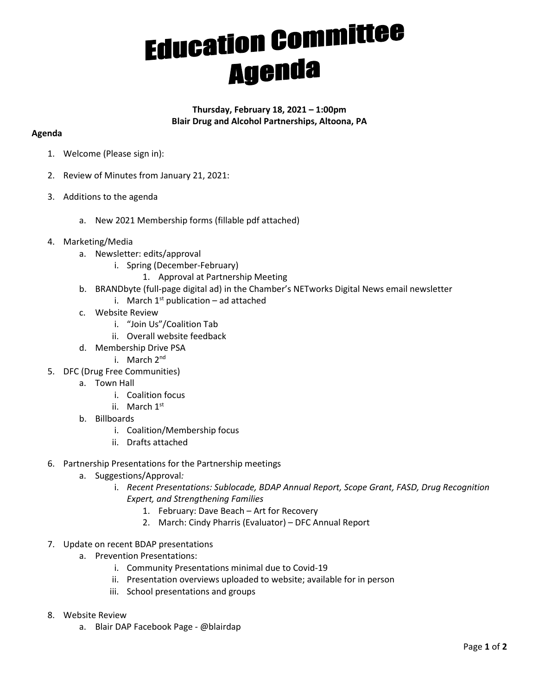## **Education Committee**

## **Thursday, February 18, 2021 – 1:00pm Blair Drug and Alcohol Partnerships, Altoona, PA**

## **Agenda**

- 1. Welcome (Please sign in):
- 2. Review of Minutes from January 21, 2021:
- 3. Additions to the agenda
	- a. New 2021 Membership forms (fillable pdf attached)
- 4. Marketing/Media
	- a. Newsletter: edits/approval
		- i. Spring (December-February)
			- 1. Approval at Partnership Meeting
	- b. BRANDbyte (full-page digital ad) in the Chamber's NETworks Digital News email newsletter
		- i. March  $1^{st}$  publication ad attached
	- c. Website Review
		- i. "Join Us"/Coalition Tab
		- ii. Overall website feedback
	- d. Membership Drive PSA
		- i. March 2<sup>nd</sup>
- 5. DFC (Drug Free Communities)
	- a. Town Hall
		- i. Coalition focus
		- ii. March 1st
	- b. Billboards
		- i. Coalition/Membership focus
		- ii. Drafts attached
- 6. Partnership Presentations for the Partnership meetings
	- a. Suggestions/Approval*:*
		- i. *Recent Presentations: Sublocade, BDAP Annual Report, Scope Grant, FASD, Drug Recognition Expert, and Strengthening Families* 
			- 1. February: Dave Beach Art for Recovery
			- 2. March: Cindy Pharris (Evaluator) DFC Annual Report
- 7. Update on recent BDAP presentations
	- a. Prevention Presentations:
		- i. Community Presentations minimal due to Covid-19
		- ii. Presentation overviews uploaded to website; available for in person
		- iii. School presentations and groups
- 8. Website Review
	- a. Blair DAP Facebook Page @blairdap